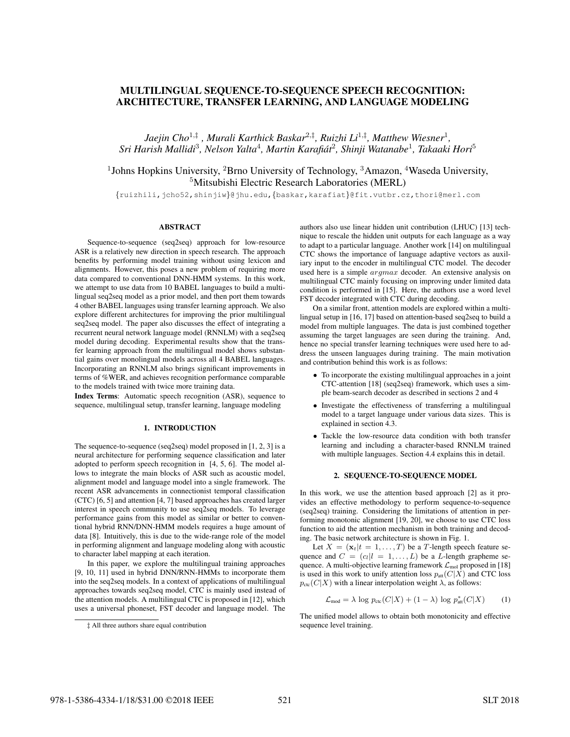# MULTILINGUAL SEQUENCE-TO-SEQUENCE SPEECH RECOGNITION: ARCHITECTURE, TRANSFER LEARNING, AND LANGUAGE MODELING

*Jaejin Cho*<sup>1</sup>,‡ *, Murali Karthick Baskar*<sup>2</sup>,‡ *, Ruizhi Li*<sup>1</sup>,‡ *, Matthew Wiesner*<sup>1</sup> *, Sri Harish Mallidi*<sup>3</sup> *, Nelson Yalta*<sup>4</sup> *, Martin Karafiat´* 2 *, Shinji Watanabe*<sup>1</sup> *, Takaaki Hori*<sup>5</sup>

<sup>1</sup>Johns Hopkins University, <sup>2</sup>Brno University of Technology, <sup>3</sup>Amazon, <sup>4</sup>Waseda University, <sup>5</sup>Mitsubishi Electric Research Laboratories (MERL)

{ruizhili,jcho52,shinjiw}@jhu.edu,{baskar,karafiat}@fit.vutbr.cz,thori@merl.com

### **ABSTRACT**

Sequence-to-sequence (seq2seq) approach for low-resource ASR is a relatively new direction in speech research. The approach benefits by performing model training without using lexicon and alignments. However, this poses a new problem of requiring more data compared to conventional DNN-HMM systems. In this work, we attempt to use data from 10 BABEL languages to build a multilingual seq2seq model as a prior model, and then port them towards 4 other BABEL languages using transfer learning approach. We also explore different architectures for improving the prior multilingual seq2seq model. The paper also discusses the effect of integrating a recurrent neural network language model (RNNLM) with a seq2seq model during decoding. Experimental results show that the transfer learning approach from the multilingual model shows substantial gains over monolingual models across all 4 BABEL languages. Incorporating an RNNLM also brings significant improvements in terms of %WER, and achieves recognition performance comparable to the models trained with twice more training data.

Index Terms: Automatic speech recognition (ASR), sequence to sequence, multilingual setup, transfer learning, language modeling

#### 1. INTRODUCTION

The sequence-to-sequence (seq2seq) model proposed in [1, 2, 3] is a neural architecture for performing sequence classification and later adopted to perform speech recognition in [4, 5, 6]. The model allows to integrate the main blocks of ASR such as acoustic model, alignment model and language model into a single framework. The recent ASR advancements in connectionist temporal classification (CTC) [6, 5] and attention [4, 7] based approaches has created larger interest in speech community to use seq2seq models. To leverage performance gains from this model as similar or better to conventional hybrid RNN/DNN-HMM models requires a huge amount of data [8]. Intuitively, this is due to the wide-range role of the model in performing alignment and language modeling along with acoustic to character label mapping at each iteration.

In this paper, we explore the multilingual training approaches [9, 10, 11] used in hybrid DNN/RNN-HMMs to incorporate them into the seq2seq models. In a context of applications of multilingual approaches towards seq2seq model, CTC is mainly used instead of the attention models. A multilingual CTC is proposed in [12], which uses a universal phoneset, FST decoder and language model. The authors also use linear hidden unit contribution (LHUC) [13] technique to rescale the hidden unit outputs for each language as a way to adapt to a particular language. Another work [14] on multilingual CTC shows the importance of language adaptive vectors as auxiliary input to the encoder in multilingual CTC model. The decoder used here is a simple  $argmax$  decoder. An extensive analysis on multilingual CTC mainly focusing on improving under limited data condition is performed in [15]. Here, the authors use a word level FST decoder integrated with CTC during decoding.

On a similar front, attention models are explored within a multilingual setup in [16, 17] based on attention-based seq2seq to build a model from multiple languages. The data is just combined together assuming the target languages are seen during the training. And, hence no special transfer learning techniques were used here to address the unseen languages during training. The main motivation and contribution behind this work is as follows:

- To incorporate the existing multilingual approaches in a joint CTC-attention [18] (seq2seq) framework, which uses a simple beam-search decoder as described in sections 2 and 4
- Investigate the effectiveness of transferring a multilingual model to a target language under various data sizes. This is explained in section 4.3.
- Tackle the low-resource data condition with both transfer learning and including a character-based RNNLM trained with multiple languages. Section 4.4 explains this in detail.

#### 2. SEQUENCE-TO-SEQUENCE MODEL

In this work, we use the attention based approach [2] as it provides an effective methodology to perform sequence-to-sequence (seq2seq) training. Considering the limitations of attention in performing monotonic alignment [19, 20], we choose to use CTC loss function to aid the attention mechanism in both training and decoding. The basic network architecture is shown in Fig. 1.

Let  $X = (\mathbf{x}_t | t = 1, \dots, T)$  be a T-length speech feature sequence and  $C = (c_l | l = 1, \ldots, L)$  be a L-length grapheme sequence. A multi-objective learning framework  $\mathcal{L}_{mol}$  proposed in [18] is used in this work to unify attention loss  $p_{\text{att}}(C|X)$  and CTC loss  $p_{\text{ctc}}(C|X)$  with a linear interpolation weight  $\lambda$ , as follows:

$$
\mathcal{L}_{\text{mod}} = \lambda \log p_{\text{ctc}}(C|X) + (1 - \lambda) \log p_{\text{att}}^{*}(C|X) \qquad (1)
$$

The unified model allows to obtain both monotonicity and effective sequence level training.

<sup>‡</sup> All three authors share equal contribution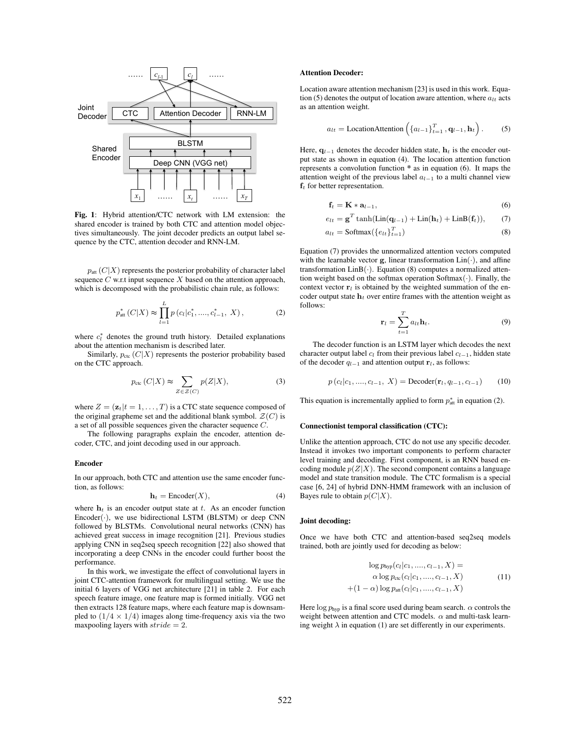

Fig. 1: Hybrid attention/CTC network with LM extension: the shared encoder is trained by both CTC and attention model objectives simultaneously. The joint decoder predicts an output label sequence by the CTC, attention decoder and RNN-LM.

 $p_{\text{att}}(C|X)$  represents the posterior probability of character label sequence  $C$  w.r.t input sequence  $X$  based on the attention approach, which is decomposed with the probabilistic chain rule, as follows:

$$
p_{\text{att}}^{*}\left(C|X\right) \approx \prod_{l=1}^{L} p\left(c_{l}|c_{1}^{*},...,c_{l-1}^{*}, X\right),\tag{2}
$$

where  $c_l^*$  denotes the ground truth history. Detailed explanations about the attention mechanism is described later.

Similarly,  $p_{\text{ctc}}$  ( $C|X$ ) represents the posterior probability based on the CTC approach.

$$
p_{\rm ctc}(C|X) \approx \sum_{Z \in \mathcal{Z}(C)} p(Z|X),\tag{3}
$$

where  $Z = (\mathbf{z}_t | t = 1, \dots, T)$  is a CTC state sequence composed of the original grapheme set and the additional blank symbol.  $\mathcal{Z}(C)$  is a set of all possible sequences given the character sequence C.

The following paragraphs explain the encoder, attention decoder, CTC, and joint decoding used in our approach.

#### Encoder

In our approach, both CTC and attention use the same encoder function, as follows:

$$
\mathbf{h}_t = \text{Encoder}(X),\tag{4}
$$

where  $h_t$  is an encoder output state at t. As an encoder function  $Encoder(\cdot)$ , we use bidirectional LSTM (BLSTM) or deep CNN followed by BLSTMs. Convolutional neural networks (CNN) has achieved great success in image recognition [21]. Previous studies applying CNN in seq2seq speech recognition [22] also showed that incorporating a deep CNNs in the encoder could further boost the performance.

In this work, we investigate the effect of convolutional layers in joint CTC-attention framework for multilingual setting. We use the initial 6 layers of VGG net architecture [21] in table 2. For each speech feature image, one feature map is formed initially. VGG net then extracts 128 feature maps, where each feature map is downsampled to  $(1/4 \times 1/4)$  images along time-frequency axis via the two max pooling layers with  $\text{stride} = 2$ .

#### Attention Decoder:

Location aware attention mechanism [23] is used in this work. Equation (5) denotes the output of location aware attention, where  $a_{lt}$  acts as an attention weight.

$$
a_{lt} = \text{LocationAttention}\left(\left\{a_{l-1}\right\}_{t=1}^T, \mathbf{q}_{l-1}, \mathbf{h}_t\right). \tag{5}
$$

Here,  $q_{l-1}$  denotes the decoder hidden state,  $h_t$  is the encoder output state as shown in equation (4). The location attention function represents a convolution function \* as in equation (6). It maps the attention weight of the previous label  $a_{l-1}$  to a multi channel view  $f_t$  for better representation.

$$
\mathbf{f}_t = \mathbf{K} * \mathbf{a}_{l-1},\tag{6}
$$

$$
e_{lt} = \mathbf{g}^T \tanh(\text{Lin}(\mathbf{q}_{l-1}) + \text{Lin}(\mathbf{h}_t) + \text{LinB}(\mathbf{f}_t)),\qquad(7)
$$

$$
a_{lt} = \text{Softmax}(\{e_{lt}\}_{t=1}^T) \tag{8}
$$

Equation (7) provides the unnormalized attention vectors computed with the learnable vector  $g$ , linear transformation  $Lin(\cdot)$ , and affine transformation  $LinB(\cdot)$ . Equation (8) computes a normalized attention weight based on the softmax operation  $Softmax(\cdot)$ . Finally, the context vector  $r_l$  is obtained by the weighted summation of the encoder output state  $h_t$  over entire frames with the attention weight as follows:

$$
\mathbf{r}_l = \sum_{t=1}^T a_{lt} \mathbf{h}_t. \tag{9}
$$

The decoder function is an LSTM layer which decodes the next character output label  $c_l$  from their previous label  $c_{l-1}$ , hidden state of the decoder  $q_{l-1}$  and attention output  $\mathbf{r}_l$ , as follows:

$$
p(c_l|c_1, ..., c_{l-1}, X) = \text{Decoder}(\mathbf{r}_l, q_{l-1}, c_{l-1})
$$
 (10)

This equation is incrementally applied to form  $p_{\text{att}}^*$  in equation (2).

#### Connectionist temporal classification (CTC):

Unlike the attention approach, CTC do not use any specific decoder. Instead it invokes two important components to perform character level training and decoding. First component, is an RNN based encoding module  $p(Z|X)$ . The second component contains a language model and state transition module. The CTC formalism is a special case [6, 24] of hybrid DNN-HMM framework with an inclusion of Bayes rule to obtain  $p(C|X)$ .

### Joint decoding:

Once we have both CTC and attention-based seq2seq models trained, both are jointly used for decoding as below:

$$
\log p_{\text{hyp}}(c_l|c_1, ..., c_{l-1}, X) =
$$
  
\n
$$
\alpha \log p_{\text{ctc}}(c_l|c_1, ..., c_{l-1}, X)
$$
  
\n+(1- $\alpha$ ) 
$$
\log p_{\text{att}}(c_l|c_1, ..., c_{l-1}, X)
$$
\n(11)

Here log  $p_{\text{hyp}}$  is a final score used during beam search.  $\alpha$  controls the weight between attention and CTC models.  $\alpha$  and multi-task learning weight  $\lambda$  in equation (1) are set differently in our experiments.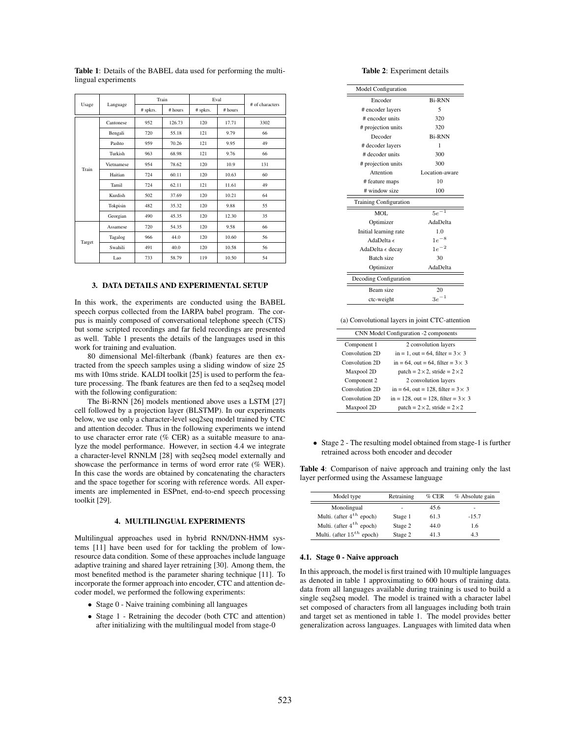|  |        | Language   | Train    |         | Eval     |         | # of characters |
|--|--------|------------|----------|---------|----------|---------|-----------------|
|  | Usage  |            | # spkrs. | # hours | # spkrs. | # hours |                 |
|  |        | Cantonese  | 952      | 126.73  | 120      | 17.71   | 3302            |
|  |        | Bengali    | 720      | 55.18   | 121      | 9.79    | 66              |
|  |        | Pashto     | 959      | 70.26   | 121      | 9.95    | 49              |
|  |        | Turkish    | 963      | 68.98   | 121      | 9.76    | 66              |
|  | Train  | Vietnamese | 954      | 78.62   | 120      | 10.9    | 131             |
|  |        | Haitian    | 724      | 60.11   | 120      | 10.63   | 60              |
|  |        | Tamil      | 724      | 62.11   | 121      | 11.61   | 49              |
|  |        | Kurdish    | 502      | 37.69   | 120      | 10.21   | 64              |
|  |        | Tokpisin   | 482      | 35.32   | 120      | 9.88    | 55              |
|  |        | Georgian   | 490      | 45.35   | 120      | 12.30   | 35              |
|  | Target | Assamese   | 720      | 54.35   | 120      | 9.58    | 66              |
|  |        | Tagalog    | 966      | 44.0    | 120      | 10.60   | 56              |
|  |        | Swahili    | 491      | 40.0    | 120      | 10.58   | 56              |
|  |        | Lao        | 733      | 58.79   | 119      | 10.50   | 54              |

Table 1: Details of the BABEL data used for performing the multilingual experiments

## 3. DATA DETAILS AND EXPERIMENTAL SETUP

In this work, the experiments are conducted using the BABEL speech corpus collected from the IARPA babel program. The corpus is mainly composed of conversational telephone speech (CTS) but some scripted recordings and far field recordings are presented as well. Table 1 presents the details of the languages used in this work for training and evaluation.

80 dimensional Mel-filterbank (fbank) features are then extracted from the speech samples using a sliding window of size 25 ms with 10ms stride. KALDI toolkit [25] is used to perform the feature processing. The fbank features are then fed to a seq2seq model with the following configuration:

The Bi-RNN [26] models mentioned above uses a LSTM [27] cell followed by a projection layer (BLSTMP). In our experiments below, we use only a character-level seq2seq model trained by CTC and attention decoder. Thus in the following experiments we intend to use character error rate (% CER) as a suitable measure to analyze the model performance. However, in section 4.4 we integrate a character-level RNNLM [28] with seq2seq model externally and showcase the performance in terms of word error rate (% WER). In this case the words are obtained by concatenating the characters and the space together for scoring with reference words. All experiments are implemented in ESPnet, end-to-end speech processing toolkit [29].

# 4. MULTILINGUAL EXPERIMENTS

Multilingual approaches used in hybrid RNN/DNN-HMM systems [11] have been used for for tackling the problem of lowresource data condition. Some of these approaches include language adaptive training and shared layer retraining [30]. Among them, the most benefited method is the parameter sharing technique [11]. To incorporate the former approach into encoder, CTC and attention decoder model, we performed the following experiments:

- Stage 0 Naive training combining all languages
- Stage 1 Retraining the decoder (both CTC and attention) after initializing with the multilingual model from stage-0

### Table 2: Experiment details

| <b>Model Configuration</b>    |                |
|-------------------------------|----------------|
| Encoder                       | <b>Bi-RNN</b>  |
| # encoder layers              | 5              |
| # encoder units               | 320            |
| # projection units            | 320            |
| Decoder                       | <b>Bi-RNN</b>  |
| # decoder layers              | 1              |
| # decoder units               | 300            |
| # projection units            | 300            |
| Attention                     | Location-aware |
| # feature maps                | 10             |
| # window size                 | 100            |
| <b>Training Configuration</b> |                |
| MOL.                          | $5e^{-1}$      |
| Optimizer                     | AdaDelta       |
| Initial learning rate         | 1.0            |
| AdaDelta $\epsilon$           | $1e^{-8}$      |
| AdaDelta $\epsilon$ decay     | $1e^{-2}$      |
| Batch size                    | 30             |
| Optimizer                     | AdaDelta       |
| Decoding Configuration        |                |
| Beam size                     | 20             |
| ctc-weight                    | $3e^{-1}$      |
|                               |                |

(a) Convolutional layers in joint CTC-attention

| CNN Model Configuration -2 components |                                              |  |  |  |  |
|---------------------------------------|----------------------------------------------|--|--|--|--|
| 2 convolution layers<br>Component 1   |                                              |  |  |  |  |
| Convolution 2D                        | in = 1, out = 64, filter = $3 \times 3$      |  |  |  |  |
| Convolution 2D                        | in = 64, out = 64, filter = $3 \times 3$     |  |  |  |  |
| Maxpool 2D                            | patch = $2 \times 2$ , stride = $2 \times 2$ |  |  |  |  |
| Component 2                           | 2 convolution layers                         |  |  |  |  |
| Convolution 2D                        | in = 64, out = 128, filter = $3 \times 3$    |  |  |  |  |
| Convolution 2D                        | in = 128, out = 128, filter = $3 \times 3$   |  |  |  |  |
| Maxpool 2D                            | patch = $2 \times 2$ , stride = $2 \times 2$ |  |  |  |  |

• Stage 2 - The resulting model obtained from stage-1 is further retrained across both encoder and decoder

Table 4: Comparison of naive approach and training only the last layer performed using the Assamese language

| Model type                     | Retraining               | $%$ CER | % Absolute gain |
|--------------------------------|--------------------------|---------|-----------------|
| Monolingual                    | $\overline{\phantom{m}}$ | 45.6    | ۰               |
| Multi. (after $4^{th}$ epoch)  | Stage 1                  | 61.3    | $-15.7$         |
| Multi. (after $4^{th}$ epoch)  | Stage 2                  | 44.0    | 1.6             |
| Multi. (after $15^{th}$ epoch) | Stage 2                  | 41.3    | 4.3             |

#### 4.1. Stage 0 - Naive approach

In this approach, the model is first trained with 10 multiple languages as denoted in table 1 approximating to 600 hours of training data. data from all languages available during training is used to build a single seq2seq model. The model is trained with a character label set composed of characters from all languages including both train and target set as mentioned in table 1. The model provides better generalization across languages. Languages with limited data when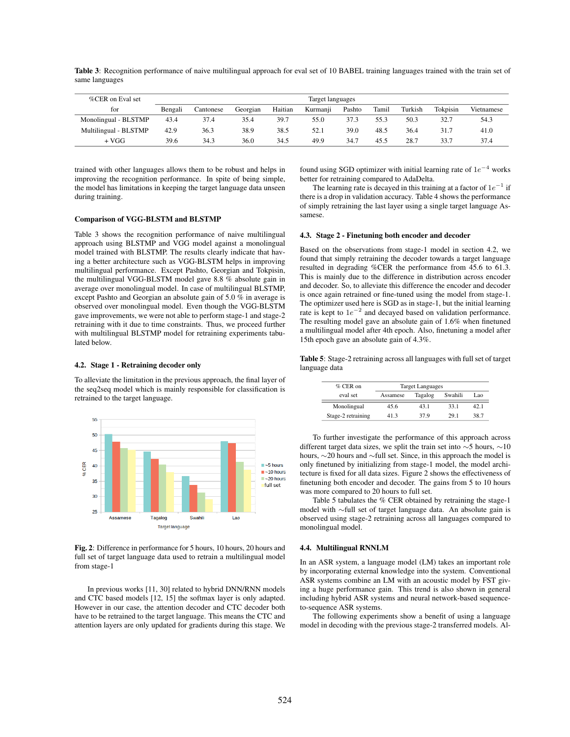Table 3: Recognition performance of naive multilingual approach for eval set of 10 BABEL training languages trained with the train set of same languages

| %CER on Eval set      | Target languages |           |          |         |          |        |       |         |          |            |
|-----------------------|------------------|-----------|----------|---------|----------|--------|-------|---------|----------|------------|
| for                   | Bengali          | Cantonese | Georgian | Haitian | Kurmanji | Pashto | Tamil | Turkish | Tokpisin | Vietnamese |
| Monolingual - BLSTMP  | 43.4             | 37.4      | 35.4     | 39.7    | 55.0     | 37.3   | 55.3  | 50.3    | 32.7     | 54.3       |
| Multilingual - BLSTMP | 42.9             | 36.3      | 38.9     | 38.5    | 52.1     | 39.0   | 48.5  | 36.4    | 31.7     | 41.0       |
| + VGG                 | 39.6             | 34.3      | 36.0     | 34.5    | 49.9     | 34.7   | 45.5  | 28.7    | 33.7     | 37.4       |

trained with other languages allows them to be robust and helps in improving the recognition performance. In spite of being simple, the model has limitations in keeping the target language data unseen during training.

# Comparison of VGG-BLSTM and BLSTMP

Table 3 shows the recognition performance of naive multilingual approach using BLSTMP and VGG model against a monolingual model trained with BLSTMP. The results clearly indicate that having a better architecture such as VGG-BLSTM helps in improving multilingual performance. Except Pashto, Georgian and Tokpisin, the multilingual VGG-BLSTM model gave 8.8 % absolute gain in average over monolingual model. In case of multilingual BLSTMP, except Pashto and Georgian an absolute gain of 5.0 % in average is observed over monolingual model. Even though the VGG-BLSTM gave improvements, we were not able to perform stage-1 and stage-2 retraining with it due to time constraints. Thus, we proceed further with multilingual BLSTMP model for retraining experiments tabulated below.

#### 4.2. Stage 1 - Retraining decoder only

To alleviate the limitation in the previous approach, the final layer of the seq2seq model which is mainly responsible for classification is retrained to the target language.



Fig. 2: Difference in performance for 5 hours, 10 hours, 20 hours and full set of target language data used to retrain a multilingual model from stage-1

In previous works [11, 30] related to hybrid DNN/RNN models and CTC based models [12, 15] the softmax layer is only adapted. However in our case, the attention decoder and CTC decoder both have to be retrained to the target language. This means the CTC and attention layers are only updated for gradients during this stage. We

found using SGD optimizer with initial learning rate of  $1e^{-4}$  works better for retraining compared to AdaDelta.

The learning rate is decayed in this training at a factor of  $1e^{-1}$  if there is a drop in validation accuracy. Table 4 shows the performance of simply retraining the last layer using a single target language Assamese.

### 4.3. Stage 2 - Finetuning both encoder and decoder

Based on the observations from stage-1 model in section 4.2, we found that simply retraining the decoder towards a target language resulted in degrading %CER the performance from 45.6 to 61.3. This is mainly due to the difference in distribution across encoder and decoder. So, to alleviate this difference the encoder and decoder is once again retrained or fine-tuned using the model from stage-1. The optimizer used here is SGD as in stage-1, but the initial learning rate is kept to  $1e^{-2}$  and decayed based on validation performance. The resulting model gave an absolute gain of 1.6% when finetuned a multilingual model after 4th epoch. Also, finetuning a model after 15th epoch gave an absolute gain of 4.3%.

Table 5: Stage-2 retraining across all languages with full set of target language data

| $%$ CER on         | <b>Target Languages</b> |         |         |      |
|--------------------|-------------------------|---------|---------|------|
| eval set           | Assamese                | Tagalog | Swahili | Lao. |
| Monolingual        | 45.6                    | 43.1    | 33.1    | 42.1 |
| Stage-2 retraining | 413                     | 37.9    | 29.1    | 38.7 |

To further investigate the performance of this approach across different target data sizes, we split the train set into  $\sim$ 5 hours,  $\sim$ 10 hours, ∼20 hours and ∼full set. Since, in this approach the model is only finetuned by initializing from stage-1 model, the model architecture is fixed for all data sizes. Figure 2 shows the effectiveness of finetuning both encoder and decoder. The gains from 5 to 10 hours was more compared to 20 hours to full set.

Table 5 tabulates the % CER obtained by retraining the stage-1 model with ∼full set of target language data. An absolute gain is observed using stage-2 retraining across all languages compared to monolingual model.

#### 4.4. Multilingual RNNLM

In an ASR system, a language model (LM) takes an important role by incorporating external knowledge into the system. Conventional ASR systems combine an LM with an acoustic model by FST giving a huge performance gain. This trend is also shown in general including hybrid ASR systems and neural network-based sequenceto-sequence ASR systems.

The following experiments show a benefit of using a language model in decoding with the previous stage-2 transferred models. Al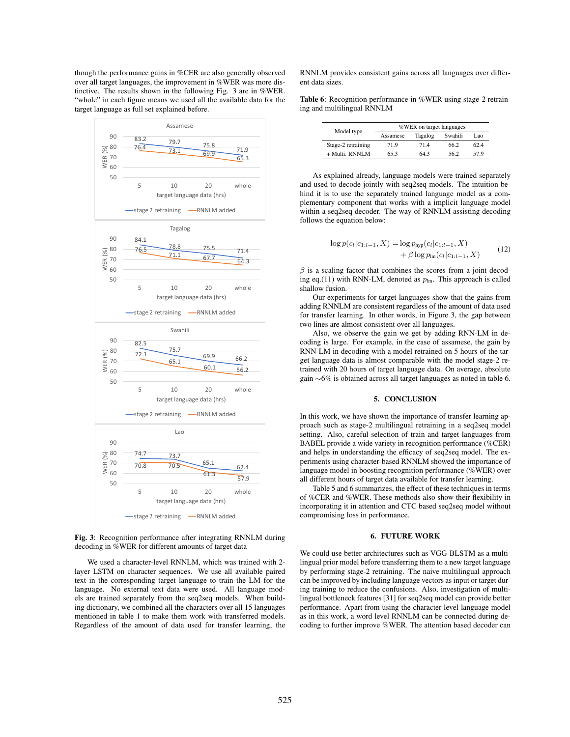though the performance gains in %CER are also generally observed over all target languages, the improvement in %WER was more distinctive. The results shown in the following Fig. 3 are in %WER. "whole" in each figure means we used all the available data for the target language as full set explained before.



Fig. 3: Recognition performance after integrating RNNLM during decoding in %WER for different amounts of target data

We used a character-level RNNLM, which was trained with 2 layer LSTM on character sequences. We use all available paired text in the corresponding target language to train the LM for the language. No external text data were used. All language models are trained separately from the seq2seq models. When building dictionary, we combined all the characters over all 15 languages mentioned in table 1 to make them work with transferred models. Regardless of the amount of data used for transfer learning, the

RNNLM provides consistent gains across all languages over different data sizes.

Table 6: Recognition performance in %WER using stage-2 retraining and multilingual RNNLM

| Model type         | %WER on target languages |         |         |      |  |  |  |
|--------------------|--------------------------|---------|---------|------|--|--|--|
|                    | Assamese                 | Tagalog | Swahili | Lao. |  |  |  |
| Stage-2 retraining | 71.9                     | 714     | 66.2    | 62.4 |  |  |  |
| + Multi. RNNLM     | 65.3                     | 64.3    | 56.2    | 57.9 |  |  |  |

As explained already, language models were trained separately and used to decode jointly with seq2seq models. The intuition behind it is to use the separately trained language model as a complementary component that works with a implicit language model within a seq2seq decoder. The way of RNNLM assisting decoding follows the equation below:

$$
\log p(c_l|c_{1:l-1}, X) = \log p_{\text{hyp}}(c_l|c_{1:l-1}, X) + \beta \log p_{\text{Im}}(c_l|c_{1:l-1}, X)
$$
\n(12)

 $\beta$  is a scaling factor that combines the scores from a joint decoding eq.(11) with RNN-LM, denoted as  $p_{lm}$ . This approach is called shallow fusion.

Our experiments for target languages show that the gains from adding RNNLM are consistent regardless of the amount of data used for transfer learning. In other words, in Figure 3, the gap between two lines are almost consistent over all languages.

Also, we observe the gain we get by adding RNN-LM in decoding is large. For example, in the case of assamese, the gain by RNN-LM in decoding with a model retrained on 5 hours of the target language data is almost comparable with the model stage-2 retrained with 20 hours of target language data. On average, absolute gain ∼6% is obtained across all target languages as noted in table 6.

# 5. CONCLUSION

In this work, we have shown the importance of transfer learning approach such as stage-2 multilingual retraining in a seq2seq model setting. Also, careful selection of train and target languages from BABEL provide a wide variety in recognition performance (%CER) and helps in understanding the efficacy of seq2seq model. The experiments using character-based RNNLM showed the importance of language model in boosting recognition performance (%WER) over all different hours of target data available for transfer learning.

Table 5 and 6 summarizes, the effect of these techniques in terms of %CER and %WER. These methods also show their flexibility in incorporating it in attention and CTC based seq2seq model without compromising loss in performance.

### 6. FUTURE WORK

We could use better architectures such as VGG-BLSTM as a multilingual prior model before transferring them to a new target language by performing stage-2 retraining. The naive multilingual approach can be improved by including language vectors as input or target during training to reduce the confusions. Also, investigation of multilingual bottleneck features [31] for seq2seq model can provide better performance. Apart from using the character level language model as in this work, a word level RNNLM can be connected during decoding to further improve %WER. The attention based decoder can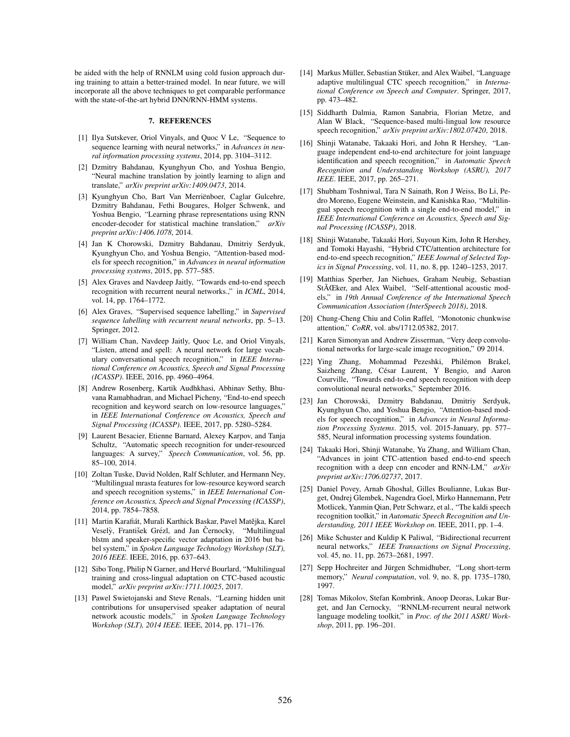be aided with the help of RNNLM using cold fusion approach during training to attain a better-trained model. In near future, we will incorporate all the above techniques to get comparable performance with the state-of-the-art hybrid DNN/RNN-HMM systems.

### 7. REFERENCES

- [1] Ilya Sutskever, Oriol Vinyals, and Quoc V Le, "Sequence to sequence learning with neural networks," in *Advances in neural information processing systems*, 2014, pp. 3104–3112.
- [2] Dzmitry Bahdanau, Kyunghyun Cho, and Yoshua Bengio, "Neural machine translation by jointly learning to align and translate," *arXiv preprint arXiv:1409.0473*, 2014.
- [3] Kyunghyun Cho, Bart Van Merriënboer, Caglar Gulcehre, Dzmitry Bahdanau, Fethi Bougares, Holger Schwenk, and Yoshua Bengio, "Learning phrase representations using RNN encoder-decoder for statistical machine translation," *arXiv preprint arXiv:1406.1078*, 2014.
- [4] Jan K Chorowski, Dzmitry Bahdanau, Dmitriy Serdyuk, Kyunghyun Cho, and Yoshua Bengio, "Attention-based models for speech recognition," in *Advances in neural information processing systems*, 2015, pp. 577–585.
- [5] Alex Graves and Navdeep Jaitly, "Towards end-to-end speech recognition with recurrent neural networks.," in *ICML*, 2014, vol. 14, pp. 1764–1772.
- [6] Alex Graves, "Supervised sequence labelling," in *Supervised sequence labelling with recurrent neural networks*, pp. 5–13. Springer, 2012.
- [7] William Chan, Navdeep Jaitly, Quoc Le, and Oriol Vinyals, "Listen, attend and spell: A neural network for large vocabulary conversational speech recognition," in *IEEE International Conference on Acoustics, Speech and Signal Processing (ICASSP)*. IEEE, 2016, pp. 4960–4964.
- [8] Andrew Rosenberg, Kartik Audhkhasi, Abhinav Sethy, Bhuvana Ramabhadran, and Michael Picheny, "End-to-end speech recognition and keyword search on low-resource languages," in *IEEE International Conference on Acoustics, Speech and Signal Processing (ICASSP)*. IEEE, 2017, pp. 5280–5284.
- [9] Laurent Besacier, Etienne Barnard, Alexey Karpov, and Tanja Schultz, "Automatic speech recognition for under-resourced languages: A survey," *Speech Communication*, vol. 56, pp. 85–100, 2014.
- [10] Zoltan Tuske, David Nolden, Ralf Schluter, and Hermann Ney, "Multilingual mrasta features for low-resource keyword search and speech recognition systems," in *IEEE International Conference on Acoustics, Speech and Signal Processing (ICASSP)*, 2014, pp. 7854–7858.
- [11] Martin Karafiát, Murali Karthick Baskar, Pavel Matějka, Karel Veselỳ, František Grézl, and Jan Černocky, "Multilingual blstm and speaker-specific vector adaptation in 2016 but babel system," in *Spoken Language Technology Workshop (SLT), 2016 IEEE*. IEEE, 2016, pp. 637–643.
- [12] Sibo Tong, Philip N Garner, and Hervé Bourlard, "Multilingual training and cross-lingual adaptation on CTC-based acoustic model," *arXiv preprint arXiv:1711.10025*, 2017.
- [13] Pawel Swietojanski and Steve Renals, "Learning hidden unit contributions for unsupervised speaker adaptation of neural network acoustic models," in *Spoken Language Technology Workshop (SLT), 2014 IEEE*. IEEE, 2014, pp. 171–176.
- [14] Markus Müller, Sebastian Stüker, and Alex Waibel, "Language adaptive multilingual CTC speech recognition," in *International Conference on Speech and Computer*. Springer, 2017, pp. 473–482.
- [15] Siddharth Dalmia, Ramon Sanabria, Florian Metze, and Alan W Black, "Sequence-based multi-lingual low resource speech recognition," *arXiv preprint arXiv:1802.07420*, 2018.
- [16] Shinji Watanabe, Takaaki Hori, and John R Hershey, "Language independent end-to-end architecture for joint language identification and speech recognition," in *Automatic Speech Recognition and Understanding Workshop (ASRU), 2017 IEEE*. IEEE, 2017, pp. 265–271.
- [17] Shubham Toshniwal, Tara N Sainath, Ron J Weiss, Bo Li, Pedro Moreno, Eugene Weinstein, and Kanishka Rao, "Multilingual speech recognition with a single end-to-end model," in *IEEE International Conference on Acoustics, Speech and Signal Processing (ICASSP)*, 2018.
- [18] Shinji Watanabe, Takaaki Hori, Suyoun Kim, John R Hershey, and Tomoki Hayashi, "Hybrid CTC/attention architecture for end-to-end speech recognition," *IEEE Journal of Selected Topics in Signal Processing*, vol. 11, no. 8, pp. 1240–1253, 2017.
- [19] Matthias Sperber, Jan Niehues, Graham Neubig, Sebastian StÃŒker, and Alex Waibel, "Self-attentional acoustic models," in *19th Annual Conference of the International Speech Communication Association (InterSpeech 2018)*, 2018.
- [20] Chung-Cheng Chiu and Colin Raffel, "Monotonic chunkwise attention," *CoRR*, vol. abs/1712.05382, 2017.
- [21] Karen Simonyan and Andrew Zisserman, "Very deep convolutional networks for large-scale image recognition," 09 2014.
- [22] Ying Zhang, Mohammad Pezeshki, Philémon Brakel, Saizheng Zhang, César Laurent, Y Bengio, and Aaron Courville, "Towards end-to-end speech recognition with deep convolutional neural networks," September 2016.
- [23] Jan Chorowski, Dzmitry Bahdanau, Dmitriy Serdyuk, Kyunghyun Cho, and Yoshua Bengio, "Attention-based models for speech recognition," in *Advances in Neural Information Processing Systems*. 2015, vol. 2015-January, pp. 577– 585, Neural information processing systems foundation.
- [24] Takaaki Hori, Shinji Watanabe, Yu Zhang, and William Chan, "Advances in joint CTC-attention based end-to-end speech recognition with a deep cnn encoder and RNN-LM," *arXiv preprint arXiv:1706.02737*, 2017.
- [25] Daniel Povey, Arnab Ghoshal, Gilles Boulianne, Lukas Burget, Ondrej Glembek, Nagendra Goel, Mirko Hannemann, Petr Motlicek, Yanmin Qian, Petr Schwarz, et al., "The kaldi speech recognition toolkit," in *Automatic Speech Recognition and Understanding, 2011 IEEE Workshop on*. IEEE, 2011, pp. 1–4.
- [26] Mike Schuster and Kuldip K Paliwal, "Bidirectional recurrent neural networks," *IEEE Transactions on Signal Processing*, vol. 45, no. 11, pp. 2673–2681, 1997.
- [27] Sepp Hochreiter and Jürgen Schmidhuber, "Long short-term memory," *Neural computation*, vol. 9, no. 8, pp. 1735–1780, 1997.
- [28] Tomas Mikolov, Stefan Kombrink, Anoop Deoras, Lukar Burget, and Jan Cernocky, "RNNLM-recurrent neural network language modeling toolkit," in *Proc. of the 2011 ASRU Workshop*, 2011, pp. 196–201.